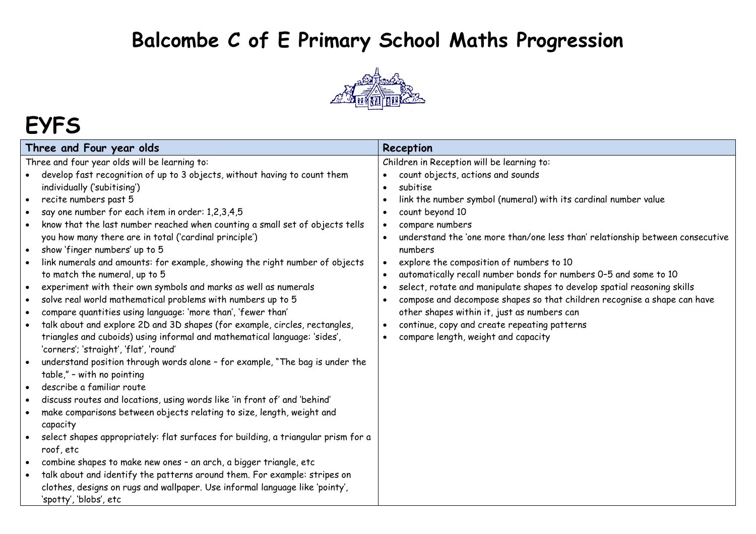#### **Balcombe C of E Primary School Maths Progression**



# **EYFS**

| Three and Four year olds                                                                                                                                                                                                                                                                                                                                                                                                                                                                                                                                                                                                                                                                                                                                                                                                                                                                                                                                                                                                                                                                                                                                                                                                                                                                                                                                                                                                                                                                                                                                                                                                                                                                                                                                           | Reception                                                                                                                                                                                                                                                                                                                                                                                                                                                                                                                                                                                                                                                                                                                   |
|--------------------------------------------------------------------------------------------------------------------------------------------------------------------------------------------------------------------------------------------------------------------------------------------------------------------------------------------------------------------------------------------------------------------------------------------------------------------------------------------------------------------------------------------------------------------------------------------------------------------------------------------------------------------------------------------------------------------------------------------------------------------------------------------------------------------------------------------------------------------------------------------------------------------------------------------------------------------------------------------------------------------------------------------------------------------------------------------------------------------------------------------------------------------------------------------------------------------------------------------------------------------------------------------------------------------------------------------------------------------------------------------------------------------------------------------------------------------------------------------------------------------------------------------------------------------------------------------------------------------------------------------------------------------------------------------------------------------------------------------------------------------|-----------------------------------------------------------------------------------------------------------------------------------------------------------------------------------------------------------------------------------------------------------------------------------------------------------------------------------------------------------------------------------------------------------------------------------------------------------------------------------------------------------------------------------------------------------------------------------------------------------------------------------------------------------------------------------------------------------------------------|
| Three and four year olds will be learning to:<br>develop fast recognition of up to 3 objects, without having to count them<br>individually ('subitising')<br>recite numbers past 5<br>$\bullet$<br>say one number for each item in order: 1,2,3,4,5<br>know that the last number reached when counting a small set of objects tells<br>you how many there are in total ('cardinal principle')<br>show 'finger numbers' up to 5<br>$\bullet$<br>link numerals and amounts: for example, showing the right number of objects<br>to match the numeral, up to 5<br>experiment with their own symbols and marks as well as numerals<br>$\bullet$<br>solve real world mathematical problems with numbers up to 5<br>$\bullet$<br>compare quantities using language: 'more than', 'fewer than'<br>$\bullet$<br>talk about and explore 2D and 3D shapes (for example, circles, rectangles,<br>$\bullet$<br>triangles and cuboids) using informal and mathematical language: 'sides',<br>'corners'; 'straight', 'flat', 'round'<br>understand position through words alone - for example, "The bag is under the<br>$\bullet$<br>table," - with no pointing<br>describe a familiar route<br>$\bullet$<br>discuss routes and locations, using words like 'in front of' and 'behind'<br>$\bullet$<br>make comparisons between objects relating to size, length, weight and<br>$\bullet$<br>capacity<br>select shapes appropriately: flat surfaces for building, a triangular prism for a<br>$\bullet$<br>roof, etc<br>combine shapes to make new ones - an arch, a bigger triangle, etc<br>talk about and identify the patterns around them. For example: stripes on<br>clothes, designs on rugs and wallpaper. Use informal language like 'pointy',<br>'spotty', 'blobs', etc | Children in Reception will be learning to:<br>count objects, actions and sounds<br>subitise<br>link the number symbol (numeral) with its cardinal number value<br>count beyond 10<br>compare numbers<br>understand the 'one more than/one less than' relationship between consecutive<br>numbers<br>explore the composition of numbers to 10<br>automatically recall number bonds for numbers 0-5 and some to 10<br>select, rotate and manipulate shapes to develop spatial reasoning skills<br>compose and decompose shapes so that children recognise a shape can have<br>other shapes within it, just as numbers can<br>continue, copy and create repeating patterns<br>$\bullet$<br>compare length, weight and capacity |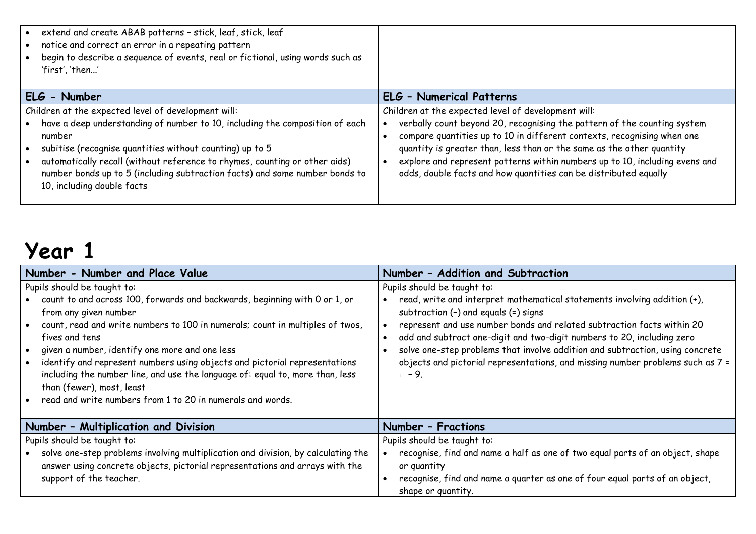| extend and create ABAB patterns - stick, leaf, stick, leaf<br>notice and correct an error in a repeating pattern<br>begin to describe a sequence of events, real or fictional, using words such as<br>'first', 'then'                                                                                                                                                                                |                                                                                                                                                                                                                                                                                                                                                                                                                                        |
|------------------------------------------------------------------------------------------------------------------------------------------------------------------------------------------------------------------------------------------------------------------------------------------------------------------------------------------------------------------------------------------------------|----------------------------------------------------------------------------------------------------------------------------------------------------------------------------------------------------------------------------------------------------------------------------------------------------------------------------------------------------------------------------------------------------------------------------------------|
| ELG - Number                                                                                                                                                                                                                                                                                                                                                                                         | <b>ELG - Numerical Patterns</b>                                                                                                                                                                                                                                                                                                                                                                                                        |
| Children at the expected level of development will:<br>have a deep understanding of number to 10, including the composition of each<br>number<br>subitise (recognise quantities without counting) up to 5<br>automatically recall (without reference to rhymes, counting or other aids)<br>number bonds up to 5 (including subtraction facts) and some number bonds to<br>10, including double facts | Children at the expected level of development will:<br>verbally count beyond 20, recognising the pattern of the counting system<br>compare quantities up to 10 in different contexts, recognising when one<br>quantity is greater than, less than or the same as the other quantity<br>explore and represent patterns within numbers up to 10, including evens and<br>odds, double facts and how quantities can be distributed equally |

| Number - Number and Place Value                                                                                                                                                                                                                                                                                                                                                                                                                                                                                                                           | Number - Addition and Subtraction                                                                                                                                                                                                                                                                                                                                                                                                                                                          |  |
|-----------------------------------------------------------------------------------------------------------------------------------------------------------------------------------------------------------------------------------------------------------------------------------------------------------------------------------------------------------------------------------------------------------------------------------------------------------------------------------------------------------------------------------------------------------|--------------------------------------------------------------------------------------------------------------------------------------------------------------------------------------------------------------------------------------------------------------------------------------------------------------------------------------------------------------------------------------------------------------------------------------------------------------------------------------------|--|
| Pupils should be taught to:<br>• count to and across 100, forwards and backwards, beginning with 0 or 1, or<br>from any given number<br>• count, read and write numbers to 100 in numerals; count in multiples of twos,<br>fives and tens<br>• given a number, identify one more and one less<br>• identify and represent numbers using objects and pictorial representations<br>including the number line, and use the language of: equal to, more than, less<br>than (fewer), most, least<br>read and write numbers from 1 to 20 in numerals and words. | Pupils should be taught to:<br>read, write and interpret mathematical statements involving addition (+),<br>subtraction $(-)$ and equals $(=)$ signs<br>represent and use number bonds and related subtraction facts within 20<br>add and subtract one-digit and two-digit numbers to 20, including zero<br>solve one-step problems that involve addition and subtraction, using concrete<br>objects and pictorial representations, and missing number problems such as 7 =<br>$\Box$ - 9. |  |
| Number - Multiplication and Division                                                                                                                                                                                                                                                                                                                                                                                                                                                                                                                      | Number - Fractions                                                                                                                                                                                                                                                                                                                                                                                                                                                                         |  |
| Pupils should be taught to:                                                                                                                                                                                                                                                                                                                                                                                                                                                                                                                               | Pupils should be taught to:                                                                                                                                                                                                                                                                                                                                                                                                                                                                |  |
| • solve one-step problems involving multiplication and division, by calculating the<br>answer using concrete objects, pictorial representations and arrays with the<br>support of the teacher.                                                                                                                                                                                                                                                                                                                                                            | recognise, find and name a half as one of two equal parts of an object, shape<br>or quantity<br>recognise, find and name a quarter as one of four equal parts of an object,<br>shape or quantity.                                                                                                                                                                                                                                                                                          |  |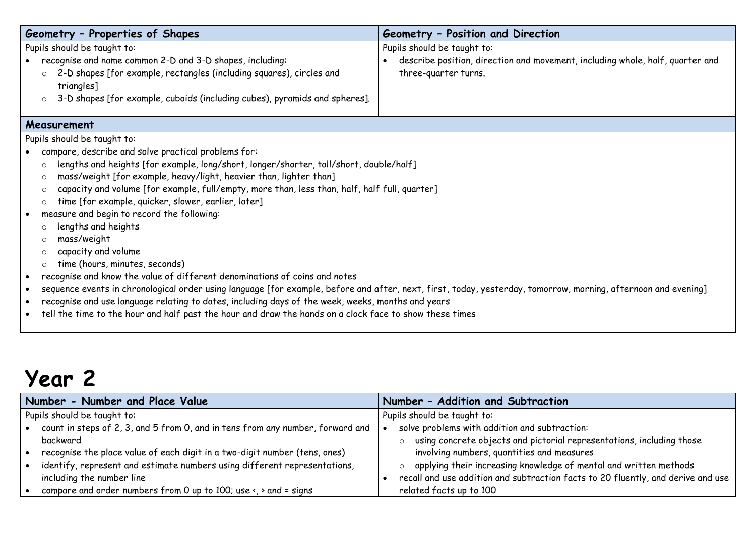| Geometry - Properties of Shapes                                                                                                                                             | Geometry - Position and Direction                                                             |  |  |
|-----------------------------------------------------------------------------------------------------------------------------------------------------------------------------|-----------------------------------------------------------------------------------------------|--|--|
| Pupils should be taught to:                                                                                                                                                 | Pupils should be taught to:                                                                   |  |  |
| recognise and name common 2-D and 3-D shapes, including:                                                                                                                    | describe position, direction and movement, including whole, half, quarter and                 |  |  |
| 2-D shapes [for example, rectangles (including squares), circles and<br>$\circ$<br>triangles]                                                                               | three-quarter turns.                                                                          |  |  |
| 3-D shapes [for example, cuboids (including cubes), pyramids and spheres].<br>$\circ$                                                                                       |                                                                                               |  |  |
| Measurement                                                                                                                                                                 |                                                                                               |  |  |
| Pupils should be taught to:                                                                                                                                                 |                                                                                               |  |  |
| compare, describe and solve practical problems for:                                                                                                                         |                                                                                               |  |  |
| lengths and heights [for example, long/short, longer/shorter, tall/short, double/half]<br>$\circ$                                                                           |                                                                                               |  |  |
| mass/weight [for example, heavy/light, heavier than, lighter than]<br>$\circ$                                                                                               |                                                                                               |  |  |
| $\circ$                                                                                                                                                                     | capacity and volume [for example, full/empty, more than, less than, half, half full, quarter] |  |  |
| time [for example, quicker, slower, earlier, later]<br>$\circ$                                                                                                              |                                                                                               |  |  |
| measure and begin to record the following:                                                                                                                                  |                                                                                               |  |  |
| lengths and heights<br>$\circ$                                                                                                                                              |                                                                                               |  |  |
| mass/weight<br>$\circ$                                                                                                                                                      |                                                                                               |  |  |
| capacity and volume<br>$\circ$                                                                                                                                              |                                                                                               |  |  |
| time (hours, minutes, seconds)<br>$\circ$                                                                                                                                   |                                                                                               |  |  |
| recognise and know the value of different denominations of coins and notes                                                                                                  |                                                                                               |  |  |
| sequence events in chronological order using language [for example, before and after, next, first, today, yesterday, tomorrow, morning, afternoon and evening]<br>$\bullet$ |                                                                                               |  |  |
| recognise and use language relating to dates, including days of the week, weeks, months and years                                                                           |                                                                                               |  |  |
| tell the time to the hour and half past the hour and draw the hands on a clock face to show these times                                                                     |                                                                                               |  |  |

| Number - Number and Place Value                                                                     | Number - Addition and Subtraction                                                |
|-----------------------------------------------------------------------------------------------------|----------------------------------------------------------------------------------|
| Pupils should be taught to:                                                                         | Pupils should be taught to:                                                      |
| count in steps of 2, 3, and 5 from 0, and in tens from any number, forward and                      | solve problems with addition and subtraction:                                    |
| backward                                                                                            | using concrete objects and pictorial representations, including those            |
| recognise the place value of each digit in a two-digit number (tens, ones)                          | involving numbers, quantities and measures                                       |
| identify, represent and estimate numbers using different representations,                           | applying their increasing knowledge of mental and written methods                |
| including the number line                                                                           | recall and use addition and subtraction facts to 20 fluently, and derive and use |
| compare and order numbers from 0 up to 100; use $\left\langle \cdot,\cdot\right\rangle$ and = signs | related facts up to 100                                                          |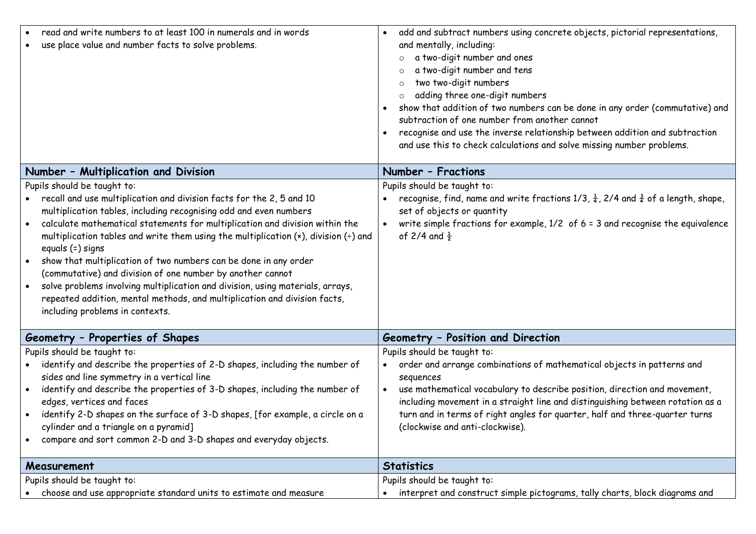| read and write numbers to at least 100 in numerals and in words<br>use place value and number facts to solve problems.                                                                                                                                                                                                                                                                                                                                                                                                                                                                                                                                                                                                                                      | add and subtract numbers using concrete objects, pictorial representations,<br>$\bullet$<br>and mentally, including:<br>a two-digit number and ones<br>a two-digit number and tens<br>two two-digit numbers<br>adding three one-digit numbers<br>show that addition of two numbers can be done in any order (commutative) and<br>$\bullet$<br>subtraction of one number from another cannot<br>recognise and use the inverse relationship between addition and subtraction<br>and use this to check calculations and solve missing number problems. |
|-------------------------------------------------------------------------------------------------------------------------------------------------------------------------------------------------------------------------------------------------------------------------------------------------------------------------------------------------------------------------------------------------------------------------------------------------------------------------------------------------------------------------------------------------------------------------------------------------------------------------------------------------------------------------------------------------------------------------------------------------------------|-----------------------------------------------------------------------------------------------------------------------------------------------------------------------------------------------------------------------------------------------------------------------------------------------------------------------------------------------------------------------------------------------------------------------------------------------------------------------------------------------------------------------------------------------------|
| Number - Multiplication and Division                                                                                                                                                                                                                                                                                                                                                                                                                                                                                                                                                                                                                                                                                                                        | Number - Fractions                                                                                                                                                                                                                                                                                                                                                                                                                                                                                                                                  |
| Pupils should be taught to:<br>recall and use multiplication and division facts for the 2, 5 and 10<br>multiplication tables, including recognising odd and even numbers<br>calculate mathematical statements for multiplication and division within the<br>$\bullet$<br>multiplication tables and write them using the multiplication $(x)$ , division $\left(\frac{1}{x}\right)$ and<br>equals (=) signs<br>show that multiplication of two numbers can be done in any order<br>(commutative) and division of one number by another cannot<br>solve problems involving multiplication and division, using materials, arrays,<br>$\bullet$<br>repeated addition, mental methods, and multiplication and division facts,<br>including problems in contexts. | Pupils should be taught to:<br>recognise, find, name and write fractions 1/3, $\frac{1}{4}$ , 2/4 and $\frac{3}{4}$ of a length, shape,<br>set of objects or quantity<br>write simple fractions for example, $1/2$ of $6 = 3$ and recognise the equivalence<br>$\bullet$<br>of 2/4 and $\frac{1}{2}$                                                                                                                                                                                                                                                |
| Geometry - Properties of Shapes                                                                                                                                                                                                                                                                                                                                                                                                                                                                                                                                                                                                                                                                                                                             | Geometry - Position and Direction                                                                                                                                                                                                                                                                                                                                                                                                                                                                                                                   |
| Pupils should be taught to:<br>identify and describe the properties of 2-D shapes, including the number of<br>sides and line symmetry in a vertical line<br>identify and describe the properties of 3-D shapes, including the number of<br>edges, vertices and faces<br>identify 2-D shapes on the surface of 3-D shapes, [for example, a circle on a<br>$\bullet$<br>cylinder and a triangle on a pyramid]<br>compare and sort common 2-D and 3-D shapes and everyday objects.                                                                                                                                                                                                                                                                             | Pupils should be taught to:<br>order and arrange combinations of mathematical objects in patterns and<br>$\bullet$<br>sequences<br>use mathematical vocabulary to describe position, direction and movement,<br>including movement in a straight line and distinguishing between rotation as a<br>turn and in terms of right angles for quarter, half and three-quarter turns<br>(clockwise and anti-clockwise).                                                                                                                                    |
| Measurement                                                                                                                                                                                                                                                                                                                                                                                                                                                                                                                                                                                                                                                                                                                                                 | <b>Statistics</b>                                                                                                                                                                                                                                                                                                                                                                                                                                                                                                                                   |
| Pupils should be taught to:<br>choose and use appropriate standard units to estimate and measure                                                                                                                                                                                                                                                                                                                                                                                                                                                                                                                                                                                                                                                            | Pupils should be taught to:<br>interpret and construct simple pictograms, tally charts, block diagrams and                                                                                                                                                                                                                                                                                                                                                                                                                                          |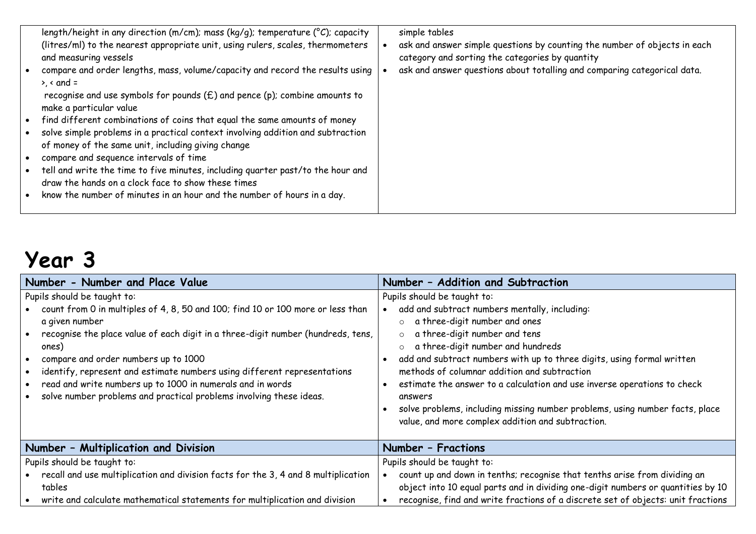|           | length/height in any direction (m/cm); mass (kg/g); temperature ( $^{\circ}$ C); capacity | simple tables                                                             |
|-----------|-------------------------------------------------------------------------------------------|---------------------------------------------------------------------------|
|           | (litres/ml) to the nearest appropriate unit, using rulers, scales, thermometers           | ask and answer simple questions by counting the number of objects in each |
|           | and measuring vessels                                                                     | category and sorting the categories by quantity                           |
|           | compare and order lengths, mass, volume/capacity and record the results using             | ask and answer questions about totalling and comparing categorical data.  |
|           |                                                                                           |                                                                           |
|           | $\lambda$ < and =                                                                         |                                                                           |
|           | recognise and use symbols for pounds $(E)$ and pence (p); combine amounts to              |                                                                           |
|           | make a particular value                                                                   |                                                                           |
|           |                                                                                           |                                                                           |
|           | • find different combinations of coins that equal the same amounts of money               |                                                                           |
| $\bullet$ | solve simple problems in a practical context involving addition and subtraction           |                                                                           |
|           | of money of the same unit, including giving change                                        |                                                                           |
|           |                                                                                           |                                                                           |
|           | compare and sequence intervals of time                                                    |                                                                           |
|           | • tell and write the time to five minutes, including quarter past/to the hour and         |                                                                           |
|           | draw the hands on a clock face to show these times                                        |                                                                           |
|           | know the number of minutes in an hour and the number of hours in a day.                   |                                                                           |
| $\bullet$ |                                                                                           |                                                                           |
|           |                                                                                           |                                                                           |

| Number - Number and Place Value                                                                                                                                                                                                                                                                                                                                                                                                                                                        | Number - Addition and Subtraction                                                                                                                                                                                                                                                                                                                                                                                                                                                                                                                               |  |
|----------------------------------------------------------------------------------------------------------------------------------------------------------------------------------------------------------------------------------------------------------------------------------------------------------------------------------------------------------------------------------------------------------------------------------------------------------------------------------------|-----------------------------------------------------------------------------------------------------------------------------------------------------------------------------------------------------------------------------------------------------------------------------------------------------------------------------------------------------------------------------------------------------------------------------------------------------------------------------------------------------------------------------------------------------------------|--|
| Pupils should be taught to:<br>count from 0 in multiples of 4, 8, 50 and 100; find 10 or 100 more or less than<br>a given number<br>recognise the place value of each digit in a three-digit number (hundreds, tens,<br>ones)<br>compare and order numbers up to 1000<br>identify, represent and estimate numbers using different representations<br>read and write numbers up to 1000 in numerals and in words<br>solve number problems and practical problems involving these ideas. | Pupils should be taught to:<br>add and subtract numbers mentally, including:<br>a three-digit number and ones<br>$\circ$<br>a three-digit number and tens<br>$\circ$<br>a three-digit number and hundreds<br>add and subtract numbers with up to three digits, using formal written<br>methods of columnar addition and subtraction<br>estimate the answer to a calculation and use inverse operations to check<br>answers<br>solve problems, including missing number problems, using number facts, place<br>value, and more complex addition and subtraction. |  |
| Number - Multiplication and Division                                                                                                                                                                                                                                                                                                                                                                                                                                                   | Number - Fractions                                                                                                                                                                                                                                                                                                                                                                                                                                                                                                                                              |  |
| Pupils should be taught to:<br>recall and use multiplication and division facts for the 3, 4 and 8 multiplication<br>tables<br>write and calculate mathematical statements for multiplication and division                                                                                                                                                                                                                                                                             | Pupils should be taught to:<br>count up and down in tenths; recognise that tenths arise from dividing an<br>object into 10 equal parts and in dividing one-digit numbers or quantities by 10<br>recognise, find and write fractions of a discrete set of objects: unit fractions                                                                                                                                                                                                                                                                                |  |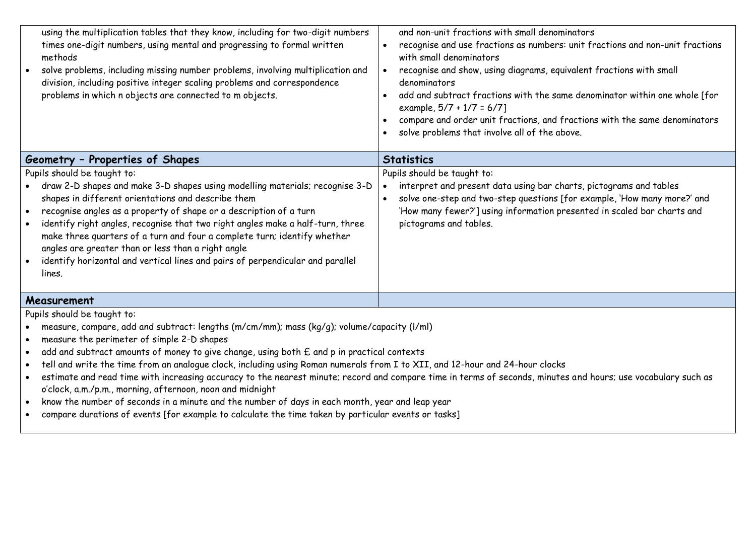| and non-unit fractions with small denominators<br>recognise and use fractions as numbers: unit fractions and non-unit fractions<br>$\bullet$<br>with small denominators<br>recognise and show, using diagrams, equivalent fractions with small<br>denominators<br>add and subtract fractions with the same denominator within one whole [for<br>$\bullet$<br>example, $5/7 + 1/7 = 6/7$ ]<br>compare and order unit fractions, and fractions with the same denominators<br>solve problems that involve all of the above.                                                                                                                                                                                                                                                                                                                                                             |  |  |
|--------------------------------------------------------------------------------------------------------------------------------------------------------------------------------------------------------------------------------------------------------------------------------------------------------------------------------------------------------------------------------------------------------------------------------------------------------------------------------------------------------------------------------------------------------------------------------------------------------------------------------------------------------------------------------------------------------------------------------------------------------------------------------------------------------------------------------------------------------------------------------------|--|--|
| <b>Statistics</b>                                                                                                                                                                                                                                                                                                                                                                                                                                                                                                                                                                                                                                                                                                                                                                                                                                                                    |  |  |
| Pupils should be taught to:<br>interpret and present data using bar charts, pictograms and tables<br>solve one-step and two-step questions [for example, 'How many more?' and<br>'How many fewer?'] using information presented in scaled bar charts and<br>pictograms and tables.                                                                                                                                                                                                                                                                                                                                                                                                                                                                                                                                                                                                   |  |  |
|                                                                                                                                                                                                                                                                                                                                                                                                                                                                                                                                                                                                                                                                                                                                                                                                                                                                                      |  |  |
| Pupils should be taught to:<br>measure, compare, add and subtract: lengths (m/cm/mm); mass (kg/g); volume/capacity (l/ml)<br>measure the perimeter of simple 2-D shapes<br>add and subtract amounts of money to give change, using both £ and p in practical contexts<br>$\bullet$<br>tell and write the time from an analogue clock, including using Roman numerals from I to XII, and 12-hour and 24-hour clocks<br>$\bullet$<br>estimate and read time with increasing accuracy to the nearest minute; record and compare time in terms of seconds, minutes and hours; use vocabulary such as<br>$\bullet$<br>o'clock, a.m./p.m., morning, afternoon, noon and midnight<br>know the number of seconds in a minute and the number of days in each month, year and leap year<br>compare durations of events [for example to calculate the time taken by particular events or tasks] |  |  |
|                                                                                                                                                                                                                                                                                                                                                                                                                                                                                                                                                                                                                                                                                                                                                                                                                                                                                      |  |  |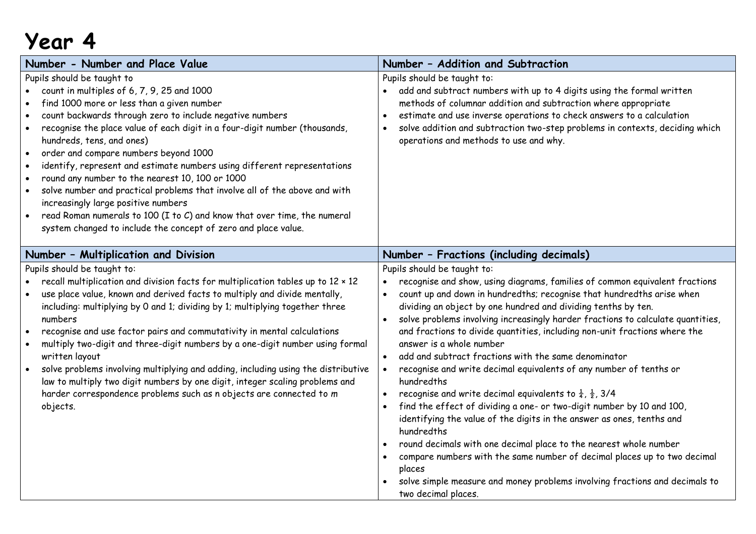| Number - Number and Place Value                                                                                                                                                                                                                                                                                                                                                                                                                                                                                                                                                                                                                                                                                                                                                                           | Number - Addition and Subtraction                                                                                                                                                                                                                                                                                                                                                                                                                                                                                                                                                                                                                                                                                                                                                                                                                                                                                                                                                                                                                                                                                                                       |
|-----------------------------------------------------------------------------------------------------------------------------------------------------------------------------------------------------------------------------------------------------------------------------------------------------------------------------------------------------------------------------------------------------------------------------------------------------------------------------------------------------------------------------------------------------------------------------------------------------------------------------------------------------------------------------------------------------------------------------------------------------------------------------------------------------------|---------------------------------------------------------------------------------------------------------------------------------------------------------------------------------------------------------------------------------------------------------------------------------------------------------------------------------------------------------------------------------------------------------------------------------------------------------------------------------------------------------------------------------------------------------------------------------------------------------------------------------------------------------------------------------------------------------------------------------------------------------------------------------------------------------------------------------------------------------------------------------------------------------------------------------------------------------------------------------------------------------------------------------------------------------------------------------------------------------------------------------------------------------|
| Pupils should be taught to<br>count in multiples of 6, 7, 9, 25 and 1000<br>find 1000 more or less than a given number<br>count backwards through zero to include negative numbers<br>$\bullet$<br>recognise the place value of each digit in a four-digit number (thousands,<br>hundreds, tens, and ones)<br>order and compare numbers beyond 1000<br>$\bullet$<br>identify, represent and estimate numbers using different representations<br>$\bullet$<br>round any number to the nearest 10, 100 or 1000<br>$\bullet$<br>solve number and practical problems that involve all of the above and with<br>$\bullet$<br>increasingly large positive numbers<br>read Roman numerals to 100 (I to C) and know that over time, the numeral<br>system changed to include the concept of zero and place value. | Pupils should be taught to:<br>add and subtract numbers with up to 4 digits using the formal written<br>methods of columnar addition and subtraction where appropriate<br>estimate and use inverse operations to check answers to a calculation<br>solve addition and subtraction two-step problems in contexts, deciding which<br>operations and methods to use and why.                                                                                                                                                                                                                                                                                                                                                                                                                                                                                                                                                                                                                                                                                                                                                                               |
| Number - Multiplication and Division                                                                                                                                                                                                                                                                                                                                                                                                                                                                                                                                                                                                                                                                                                                                                                      | Number - Fractions (including decimals)                                                                                                                                                                                                                                                                                                                                                                                                                                                                                                                                                                                                                                                                                                                                                                                                                                                                                                                                                                                                                                                                                                                 |
| Pupils should be taught to:<br>recall multiplication and division facts for multiplication tables up to 12 x 12<br>use place value, known and derived facts to multiply and divide mentally,<br>including: multiplying by 0 and 1; dividing by 1; multiplying together three<br>numbers<br>recognise and use factor pairs and commutativity in mental calculations<br>$\bullet$<br>multiply two-digit and three-digit numbers by a one-digit number using formal<br>written layout<br>solve problems involving multiplying and adding, including using the distributive<br>law to multiply two digit numbers by one digit, integer scaling problems and<br>harder correspondence problems such as n objects are connected to m<br>objects.                                                                | Pupils should be taught to:<br>recognise and show, using diagrams, families of common equivalent fractions<br>count up and down in hundredths; recognise that hundredths arise when<br>dividing an object by one hundred and dividing tenths by ten.<br>solve problems involving increasingly harder fractions to calculate quantities,<br>$\bullet$<br>and fractions to divide quantities, including non-unit fractions where the<br>answer is a whole number<br>add and subtract fractions with the same denominator<br>$\bullet$<br>recognise and write decimal equivalents of any number of tenths or<br>$\bullet$<br>hundredths<br>recognise and write decimal equivalents to $\frac{1}{4}$ , $\frac{1}{2}$ , 3/4<br>find the effect of dividing a one- or two-digit number by 10 and 100,<br>identifying the value of the digits in the answer as ones, tenths and<br>hundredths<br>round decimals with one decimal place to the nearest whole number<br>compare numbers with the same number of decimal places up to two decimal<br>places<br>solve simple measure and money problems involving fractions and decimals to<br>two decimal places. |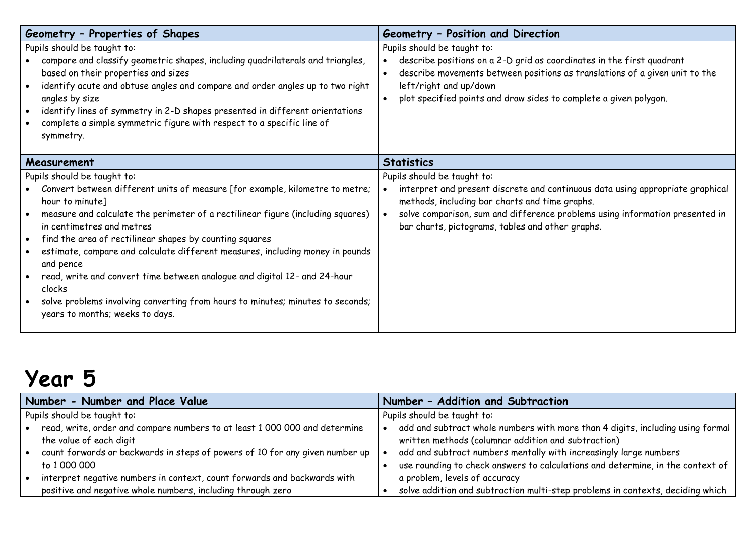| Geometry - Properties of Shapes                                                                                                                                                                                                                                                                                                                                                                                                                                                                                                                                                                                                  | Geometry - Position and Direction                                                                                                                                                                                                                                                                   |
|----------------------------------------------------------------------------------------------------------------------------------------------------------------------------------------------------------------------------------------------------------------------------------------------------------------------------------------------------------------------------------------------------------------------------------------------------------------------------------------------------------------------------------------------------------------------------------------------------------------------------------|-----------------------------------------------------------------------------------------------------------------------------------------------------------------------------------------------------------------------------------------------------------------------------------------------------|
| Pupils should be taught to:<br>compare and classify geometric shapes, including quadrilaterals and triangles,<br>based on their properties and sizes<br>identify acute and obtuse angles and compare and order angles up to two right<br>angles by size<br>identify lines of symmetry in 2-D shapes presented in different orientations<br>complete a simple symmetric figure with respect to a specific line of<br>symmetry.                                                                                                                                                                                                    | Pupils should be taught to:<br>describe positions on a 2-D grid as coordinates in the first quadrant<br>describe movements between positions as translations of a given unit to the<br>left/right and up/down<br>plot specified points and draw sides to complete a given polygon.                  |
| Measurement                                                                                                                                                                                                                                                                                                                                                                                                                                                                                                                                                                                                                      | <b>Statistics</b>                                                                                                                                                                                                                                                                                   |
| Pupils should be taught to:<br>Convert between different units of measure [for example, kilometre to metre;<br>hour to minute]<br>measure and calculate the perimeter of a rectilinear figure (including squares)<br>in centimetres and metres<br>find the area of rectilinear shapes by counting squares<br>$\bullet$<br>estimate, compare and calculate different measures, including money in pounds<br>and pence<br>read, write and convert time between analogue and digital 12- and 24-hour<br>clocks<br>solve problems involving converting from hours to minutes; minutes to seconds;<br>years to months; weeks to days. | Pupils should be taught to:<br>interpret and present discrete and continuous data using appropriate graphical<br>methods, including bar charts and time graphs.<br>solve comparison, sum and difference problems using information presented in<br>bar charts, pictograms, tables and other graphs. |

| Number - Number and Place Value                                              |                             | Number - Addition and Subtraction                                              |
|------------------------------------------------------------------------------|-----------------------------|--------------------------------------------------------------------------------|
| Pupils should be taught to:                                                  | Pupils should be taught to: |                                                                                |
| read, write, order and compare numbers to at least 1 000 000 and determine   |                             | add and subtract whole numbers with more than 4 digits, including using formal |
| the value of each digit                                                      |                             | written methods (columnar addition and subtraction)                            |
| count forwards or backwards in steps of powers of 10 for any given number up |                             | add and subtract numbers mentally with increasingly large numbers              |
| to 1 000 000                                                                 |                             | use rounding to check answers to calculations and determine, in the context of |
| interpret negative numbers in context, count forwards and backwards with     |                             | a problem, levels of accuracy                                                  |
| positive and negative whole numbers, including through zero                  |                             | solve addition and subtraction multi-step problems in contexts, deciding which |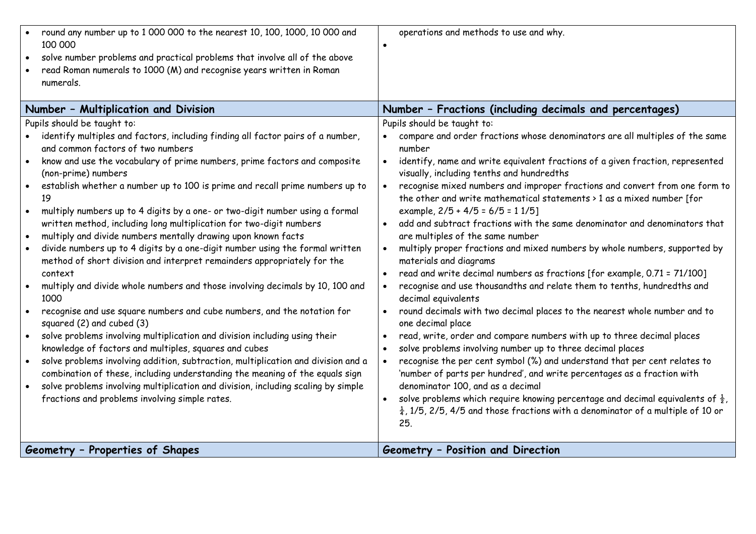| round any number up to 1 000 000 to the nearest 10, 100, 1000, 10 000 and<br>100 000<br>solve number problems and practical problems that involve all of the above<br>$\bullet$<br>read Roman numerals to 1000 (M) and recognise years written in Roman<br>numerals. | operations and methods to use and why.<br>$\bullet$                                                                                                                                                                   |
|----------------------------------------------------------------------------------------------------------------------------------------------------------------------------------------------------------------------------------------------------------------------|-----------------------------------------------------------------------------------------------------------------------------------------------------------------------------------------------------------------------|
| Number - Multiplication and Division                                                                                                                                                                                                                                 | Number - Fractions (including decimals and percentages)                                                                                                                                                               |
| Pupils should be taught to:                                                                                                                                                                                                                                          | Pupils should be taught to:                                                                                                                                                                                           |
| identify multiples and factors, including finding all factor pairs of a number,<br>and common factors of two numbers                                                                                                                                                 | compare and order fractions whose denominators are all multiples of the same<br>number                                                                                                                                |
| know and use the vocabulary of prime numbers, prime factors and composite<br>$\bullet$<br>(non-prime) numbers                                                                                                                                                        | identify, name and write equivalent fractions of a given fraction, represented<br>$\bullet$<br>visually, including tenths and hundredths                                                                              |
| establish whether a number up to 100 is prime and recall prime numbers up to<br>$\bullet$<br>19<br>multiply numbers up to 4 digits by a one- or two-digit number using a formal<br>$\bullet$                                                                         | recognise mixed numbers and improper fractions and convert from one form to<br>$\bullet$<br>the other and write mathematical statements $\rightarrow$ 1 as a mixed number [for<br>example, $2/5 + 4/5 = 6/5 = 11/5$ ] |
| written method, including long multiplication for two-digit numbers<br>multiply and divide numbers mentally drawing upon known facts<br>$\bullet$                                                                                                                    | add and subtract fractions with the same denominator and denominators that<br>are multiples of the same number                                                                                                        |
| divide numbers up to 4 digits by a one-digit number using the formal written<br>$\bullet$<br>method of short division and interpret remainders appropriately for the<br>context                                                                                      | multiply proper fractions and mixed numbers by whole numbers, supported by<br>$\bullet$<br>materials and diagrams<br>read and write decimal numbers as fractions [for example, 0.71 = 71/100]                         |
| multiply and divide whole numbers and those involving decimals by 10, 100 and<br>1000                                                                                                                                                                                | recognise and use thousandths and relate them to tenths, hundredths and<br>decimal equivalents                                                                                                                        |
| recognise and use square numbers and cube numbers, and the notation for<br>$\bullet$<br>squared (2) and cubed (3)                                                                                                                                                    | round decimals with two decimal places to the nearest whole number and to<br>$\bullet$<br>one decimal place                                                                                                           |
| solve problems involving multiplication and division including using their<br>$\bullet$<br>knowledge of factors and multiples, squares and cubes                                                                                                                     | read, write, order and compare numbers with up to three decimal places<br>$\bullet$<br>solve problems involving number up to three decimal places                                                                     |
| solve problems involving addition, subtraction, multiplication and division and a<br>combination of these, including understanding the meaning of the equals sign<br>solve problems involving multiplication and division, including scaling by simple               | recognise the per cent symbol (%) and understand that per cent relates to<br>$\bullet$<br>'number of parts per hundred', and write percentages as a fraction with<br>denominator 100, and as a decimal                |
| fractions and problems involving simple rates.                                                                                                                                                                                                                       | solve problems which require knowing percentage and decimal equivalents of $\frac{1}{2}$ ,<br>$\bullet$<br>$\frac{1}{4}$ , 1/5, 2/5, 4/5 and those fractions with a denominator of a multiple of 10 or<br>25.         |
| Geometry - Properties of Shapes                                                                                                                                                                                                                                      | Geometry - Position and Direction                                                                                                                                                                                     |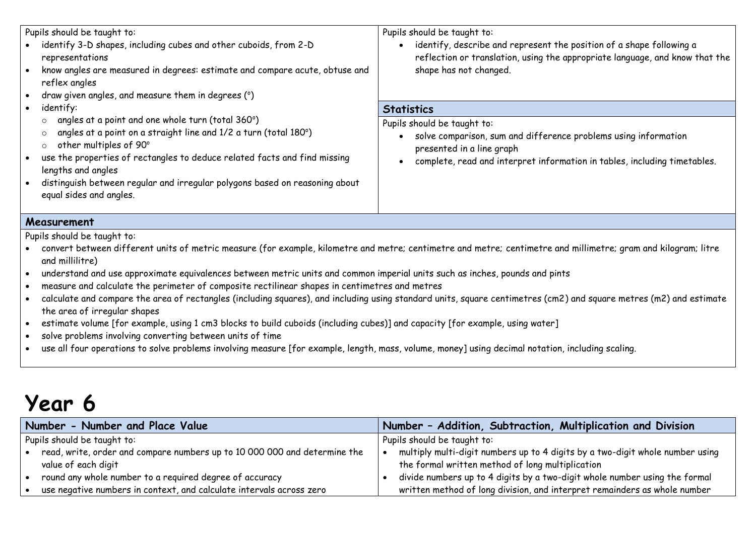| Pupils should be taught to:                                                                                                                                                                                                                                                                                                                                                                                                                                                                                                                                                                                                                                                                    | Pupils should be taught to:                                                                                                                                                                              |  |  |  |  |
|------------------------------------------------------------------------------------------------------------------------------------------------------------------------------------------------------------------------------------------------------------------------------------------------------------------------------------------------------------------------------------------------------------------------------------------------------------------------------------------------------------------------------------------------------------------------------------------------------------------------------------------------------------------------------------------------|----------------------------------------------------------------------------------------------------------------------------------------------------------------------------------------------------------|--|--|--|--|
| identify 3-D shapes, including cubes and other cuboids, from 2-D<br>representations<br>know angles are measured in degrees: estimate and compare acute, obtuse and<br>reflex angles<br>draw given angles, and measure them in degrees (°)<br>$\bullet$                                                                                                                                                                                                                                                                                                                                                                                                                                         | identify, describe and represent the position of a shape following a<br>reflection or translation, using the appropriate language, and know that the<br>shape has not changed.                           |  |  |  |  |
| identify:<br>$\bullet$                                                                                                                                                                                                                                                                                                                                                                                                                                                                                                                                                                                                                                                                         | <b>Statistics</b>                                                                                                                                                                                        |  |  |  |  |
| angles at a point and one whole turn (total 360°)<br>$\circ$<br>angles at a point on a straight line and 1/2 a turn (total 180°)<br>$\circ$<br>other multiples of 90°<br>$\circ$<br>use the properties of rectangles to deduce related facts and find missing<br>$\bullet$<br>lengths and angles<br>distinguish between regular and irregular polygons based on reasoning about<br>equal sides and angles.                                                                                                                                                                                                                                                                                     | Pupils should be taught to:<br>solve comparison, sum and difference problems using information<br>presented in a line graph<br>complete, read and interpret information in tables, including timetables. |  |  |  |  |
| Measurement                                                                                                                                                                                                                                                                                                                                                                                                                                                                                                                                                                                                                                                                                    |                                                                                                                                                                                                          |  |  |  |  |
| Pupils should be taught to:<br>convert between different units of metric measure (for example, kilometre and metre; centimetre; and metre; centimetre and millimetre; gram and kilogram; litre<br>and millilitre)<br>understand and use approximate equivalences between metric units and common imperial units such as inches, pounds and pints<br>$\bullet$<br>measure and calculate the perimeter of composite rectilinear shapes in centimetres and metres<br>$\bullet$<br>calculate and compare the area of rectangles (including squares), and including using standard units, square centimetres (cm2) and square metres (m2) and estimate<br>$\bullet$<br>the area of irregular shapes |                                                                                                                                                                                                          |  |  |  |  |

- estimate volume [for example, using 1 cm3 blocks to build cuboids (including cubes)] and capacity [for example, using water]
- solve problems involving converting between units of time
- use all four operations to solve problems involving measure [for example, length, mass, volume, money] using decimal notation, including scaling.

| Number - Number and Place Value                                           | Number - Addition, Subtraction, Multiplication and Division                   |
|---------------------------------------------------------------------------|-------------------------------------------------------------------------------|
| Pupils should be taught to:                                               | Pupils should be taught to:                                                   |
| read, write, order and compare numbers up to 10 000 000 and determine the | multiply multi-digit numbers up to 4 digits by a two-digit whole number using |
| value of each digit                                                       | the formal written method of long multiplication                              |
| round any whole number to a required degree of accuracy                   | divide numbers up to 4 digits by a two-digit whole number using the formal    |
| use negative numbers in context, and calculate intervals across zero      | written method of long division, and interpret remainders as whole number     |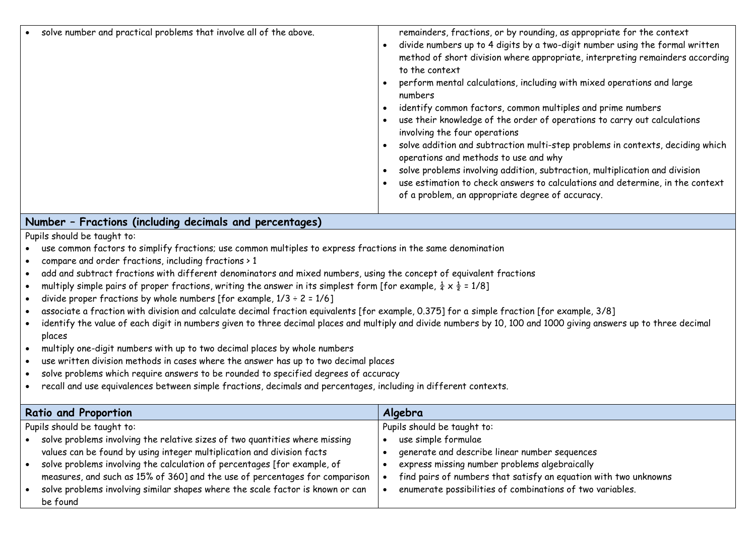| solve number and practical problems that involve all of the above.                                                                          | remainders, fractions, or by rounding, as appropriate for the context<br>divide numbers up to 4 digits by a two-digit number using the formal written<br>$\bullet$<br>method of short division where appropriate, interpreting remainders according<br>to the context<br>perform mental calculations, including with mixed operations and large<br>numbers<br>identify common factors, common multiples and prime numbers<br>use their knowledge of the order of operations to carry out calculations<br>involving the four operations<br>solve addition and subtraction multi-step problems in contexts, deciding which<br>operations and methods to use and why<br>solve problems involving addition, subtraction, multiplication and division<br>use estimation to check answers to calculations and determine, in the context<br>of a problem, an appropriate degree of accuracy. |
|---------------------------------------------------------------------------------------------------------------------------------------------|---------------------------------------------------------------------------------------------------------------------------------------------------------------------------------------------------------------------------------------------------------------------------------------------------------------------------------------------------------------------------------------------------------------------------------------------------------------------------------------------------------------------------------------------------------------------------------------------------------------------------------------------------------------------------------------------------------------------------------------------------------------------------------------------------------------------------------------------------------------------------------------|
| Number - Fractions (including decimals and percentages)                                                                                     |                                                                                                                                                                                                                                                                                                                                                                                                                                                                                                                                                                                                                                                                                                                                                                                                                                                                                       |
| Pupils should be taught to:                                                                                                                 |                                                                                                                                                                                                                                                                                                                                                                                                                                                                                                                                                                                                                                                                                                                                                                                                                                                                                       |
| use common factors to simplify fractions; use common multiples to express fractions in the same denomination                                |                                                                                                                                                                                                                                                                                                                                                                                                                                                                                                                                                                                                                                                                                                                                                                                                                                                                                       |
| compare and order fractions, including fractions > 1                                                                                        |                                                                                                                                                                                                                                                                                                                                                                                                                                                                                                                                                                                                                                                                                                                                                                                                                                                                                       |
| add and subtract fractions with different denominators and mixed numbers, using the concept of equivalent fractions                         |                                                                                                                                                                                                                                                                                                                                                                                                                                                                                                                                                                                                                                                                                                                                                                                                                                                                                       |
| multiply simple pairs of proper fractions, writing the answer in its simplest form [for example, $\frac{1}{4} \times \frac{1}{2} = 1/8$ ]   |                                                                                                                                                                                                                                                                                                                                                                                                                                                                                                                                                                                                                                                                                                                                                                                                                                                                                       |
| divide proper fractions by whole numbers [for example, $1/3 \div 2 = 1/6$ ]                                                                 |                                                                                                                                                                                                                                                                                                                                                                                                                                                                                                                                                                                                                                                                                                                                                                                                                                                                                       |
| associate a fraction with division and calculate decimal fraction equivalents [for example, 0.375] for a simple fraction [for example, 3/8] |                                                                                                                                                                                                                                                                                                                                                                                                                                                                                                                                                                                                                                                                                                                                                                                                                                                                                       |
| places                                                                                                                                      | identify the value of each digit in numbers given to three decimal places and multiply and divide numbers by 10, 100 and 1000 giving answers up to three decimal                                                                                                                                                                                                                                                                                                                                                                                                                                                                                                                                                                                                                                                                                                                      |
| multiply one-digit numbers with up to two decimal places by whole numbers                                                                   |                                                                                                                                                                                                                                                                                                                                                                                                                                                                                                                                                                                                                                                                                                                                                                                                                                                                                       |
| use written division methods in cases where the answer has up to two decimal places                                                         |                                                                                                                                                                                                                                                                                                                                                                                                                                                                                                                                                                                                                                                                                                                                                                                                                                                                                       |
| solve problems which require answers to be rounded to specified degrees of accuracy                                                         |                                                                                                                                                                                                                                                                                                                                                                                                                                                                                                                                                                                                                                                                                                                                                                                                                                                                                       |
| recall and use equivalences between simple fractions, decimals and percentages, including in different contexts.                            |                                                                                                                                                                                                                                                                                                                                                                                                                                                                                                                                                                                                                                                                                                                                                                                                                                                                                       |
|                                                                                                                                             |                                                                                                                                                                                                                                                                                                                                                                                                                                                                                                                                                                                                                                                                                                                                                                                                                                                                                       |
| <b>Ratio and Proportion</b>                                                                                                                 | Algebra                                                                                                                                                                                                                                                                                                                                                                                                                                                                                                                                                                                                                                                                                                                                                                                                                                                                               |
| Pupils should be taught to:                                                                                                                 | Pupils should be taught to:                                                                                                                                                                                                                                                                                                                                                                                                                                                                                                                                                                                                                                                                                                                                                                                                                                                           |
| solve problems involving the relative sizes of two quantities where missing                                                                 | use simple formulae                                                                                                                                                                                                                                                                                                                                                                                                                                                                                                                                                                                                                                                                                                                                                                                                                                                                   |
| values can be found by using integer multiplication and division facts                                                                      | generate and describe linear number sequences                                                                                                                                                                                                                                                                                                                                                                                                                                                                                                                                                                                                                                                                                                                                                                                                                                         |
| solve problems involving the calculation of percentages [for example, of<br>$\bullet$                                                       | express missing number problems algebraically<br>$\bullet$                                                                                                                                                                                                                                                                                                                                                                                                                                                                                                                                                                                                                                                                                                                                                                                                                            |
| measures, and such as 15% of 360] and the use of percentages for comparison                                                                 | find pairs of numbers that satisfy an equation with two unknowns<br>$\bullet$                                                                                                                                                                                                                                                                                                                                                                                                                                                                                                                                                                                                                                                                                                                                                                                                         |
| solve problems involving similar shapes where the scale factor is known or can<br>be found                                                  | enumerate possibilities of combinations of two variables.<br>$\bullet$                                                                                                                                                                                                                                                                                                                                                                                                                                                                                                                                                                                                                                                                                                                                                                                                                |